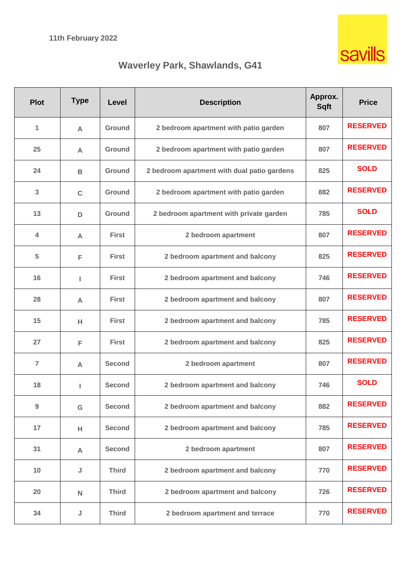

# **Waverley Park, Shawlands, G41**

| <b>Plot</b>    | <b>Type</b>  | <b>Level</b>  | <b>Description</b>                          | Approx.<br><b>Sqft</b> | <b>Price</b>    |
|----------------|--------------|---------------|---------------------------------------------|------------------------|-----------------|
| 1              | $\mathsf{A}$ | Ground        | 2 bedroom apartment with patio garden       | 807                    | <b>RESERVED</b> |
| 25             | A            | Ground        | 2 bedroom apartment with patio garden       | 807                    | <b>RESERVED</b> |
| 24             | B            | Ground        | 2 bedroom apartment with dual patio gardens | 825                    | <b>SOLD</b>     |
| 3              | C            | <b>Ground</b> | 2 bedroom apartment with patio garden       | 882                    | <b>RESERVED</b> |
| 13             | D            | Ground        | 2 bedroom apartment with private garden     | 785                    | <b>SOLD</b>     |
| $\overline{4}$ | A            | <b>First</b>  | 2 bedroom apartment                         | 807                    | <b>RESERVED</b> |
| 5              | F            | <b>First</b>  | 2 bedroom apartment and balcony             | 825                    | <b>RESERVED</b> |
| 16             | L            | <b>First</b>  | 2 bedroom apartment and balcony             | 746                    | <b>RESERVED</b> |
| 28             | A            | <b>First</b>  | 2 bedroom apartment and balcony             | 807                    | <b>RESERVED</b> |
| 15             | н            | <b>First</b>  | 2 bedroom apartment and balcony             | 785                    | <b>RESERVED</b> |
| 27             | F            | <b>First</b>  | 2 bedroom apartment and balcony             | 825                    | <b>RESERVED</b> |
| $\overline{7}$ | A            | <b>Second</b> | 2 bedroom apartment                         | 807                    | <b>RESERVED</b> |
| 18             | L            | <b>Second</b> | 2 bedroom apartment and balcony             | 746                    | <b>SOLD</b>     |
| 9              | G            | <b>Second</b> | 2 bedroom apartment and balcony             | 882                    | <b>RESERVED</b> |
| 17             | н            | <b>Second</b> | 2 bedroom apartment and balcony             | 785                    | <b>RESERVED</b> |
| 31             | A            | <b>Second</b> | 2 bedroom apartment                         | 807                    | <b>RESERVED</b> |
| 10             | J            | <b>Third</b>  | 2 bedroom apartment and balcony             | 770                    | <b>RESERVED</b> |
| 20             | $\mathsf{N}$ | <b>Third</b>  | 2 bedroom apartment and balcony             | 726                    | <b>RESERVED</b> |
| 34             | J            | <b>Third</b>  | 2 bedroom apartment and terrace             | 770                    | <b>RESERVED</b> |